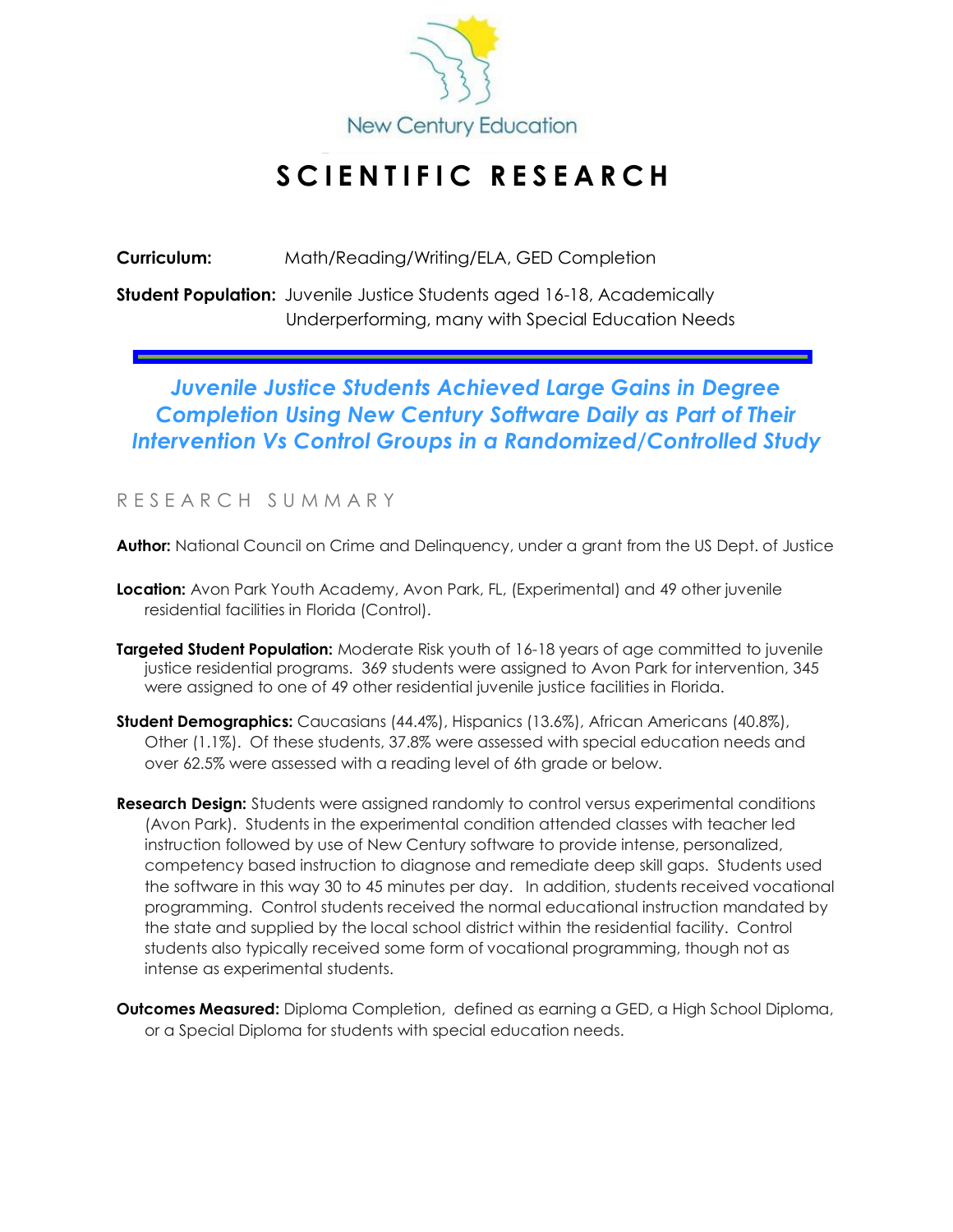

## **S C I E N T I F I C R E S E A R C H**

**Curriculum:** Math/Reading/Writing/ELA, GED Completion

**Student Population:** Juvenile Justice Students aged 16-18, Academically Underperforming, many with Special Education Needs

### *Juvenile Justice Students Achieved Large Gains in Degree Completion Using New Century Software Daily as Part of Their Intervention Vs Control Groups in a Randomized/Controlled Study*

#### R E S E A R C H S U M M A R Y

**Author:** National Council on Crime and Delinquency, under a grant from the US Dept. of Justice

- **Location:** Avon Park Youth Academy, Avon Park, FL, (Experimental) and 49 other juvenile residential facilities in Florida (Control).
- **Targeted Student Population:** Moderate Risk youth of 16-18 years of age committed to juvenile justice residential programs. 369 students were assigned to Avon Park for intervention, 345 were assigned to one of 49 other residential juvenile justice facilities in Florida.
- **Student Demographics:** Caucasians (44.4%), Hispanics (13.6%), African Americans (40.8%), Other (1.1%). Of these students, 37.8% were assessed with special education needs and over 62.5% were assessed with a reading level of 6th grade or below.
- **Research Design:** Students were assigned randomly to control versus experimental conditions (Avon Park). Students in the experimental condition attended classes with teacher led instruction followed by use of New Century software to provide intense, personalized, competency based instruction to diagnose and remediate deep skill gaps. Students used the software in this way 30 to 45 minutes per day. In addition, students received vocational programming. Control students received the normal educational instruction mandated by the state and supplied by the local school district within the residential facility. Control students also typically received some form of vocational programming, though not as intense as experimental students.
- **Outcomes Measured:** Diploma Completion, defined as earning a GED, a High School Diploma, or a Special Diploma for students with special education needs.